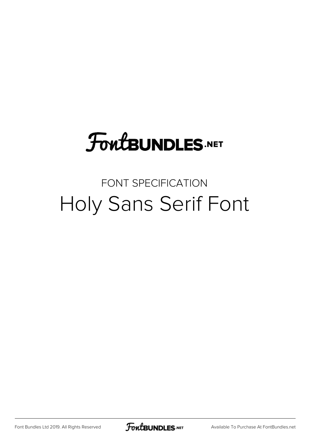# **FoutBUNDLES.NET**

### FONT SPECIFICATION Holy Sans Serif Font

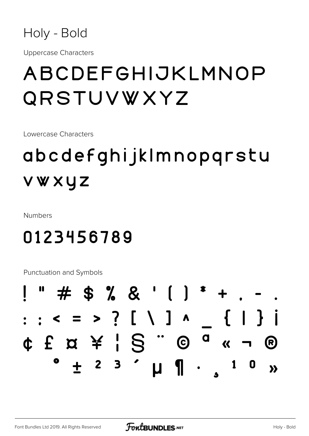

**Uppercase Characters** 

# ABCDEFGHIJKLMNOP QRSTUVWXYZ

Lowercase Characters

# abcdefghijklmnopgrstu vwxyz

**Numbers** 

### 0123456789

Punctuation and Symbols

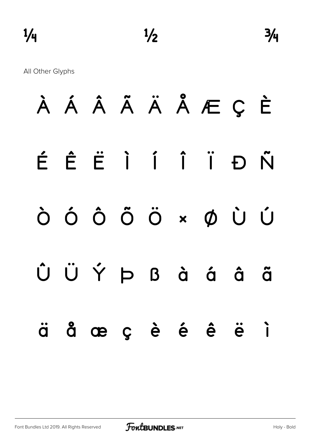All Other Glyphs

|  |  |  | À Á Â Ã Ä Ä Å Æ Ç È |  |
|--|--|--|---------------------|--|
|  |  |  | ÉÊËÌÍÏĐÑ            |  |
|  |  |  | ÒÓÔÕÖרÙÚ            |  |
|  |  |  | ÛÜÝÞßàáã            |  |
|  |  |  | äåæçèé è ë i        |  |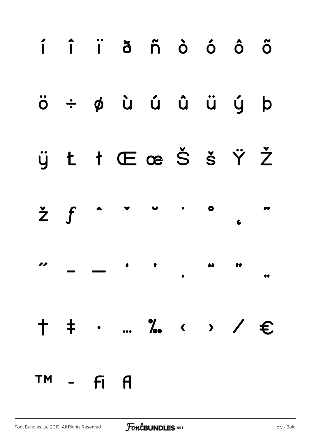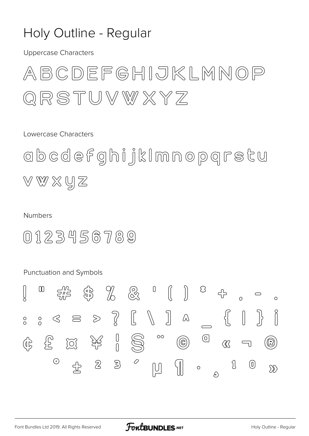### Holy Outline - Regular

**Uppercase Characters** 

ABCDEFGHIJKLMNOP QRSTUVWXYZ

Lowercase Characters

obcdefghijkImnopqrstu VWXYZ

#### **Numbers**

 $0123456789$ 

Punctuation and Symbols

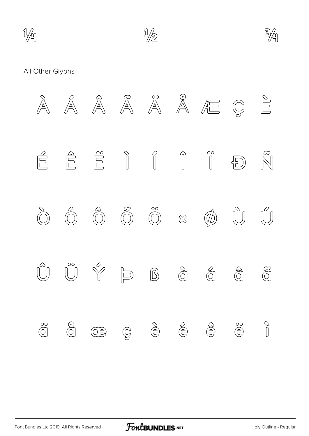





#### All Other Glyphs

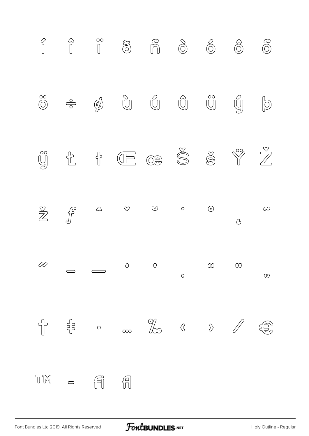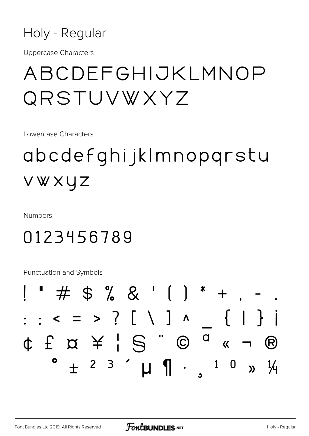

**Uppercase Characters** 

## ABCDEFGHIJKLMNOP QRSTUVWXYZ

Lowercase Characters

# abcdefghijkImnopqrstu VWXYZ

**Numbers** 

### 0123456789

Punctuation and Symbols

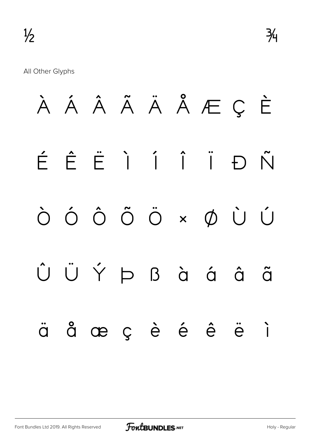All Other Glyphs